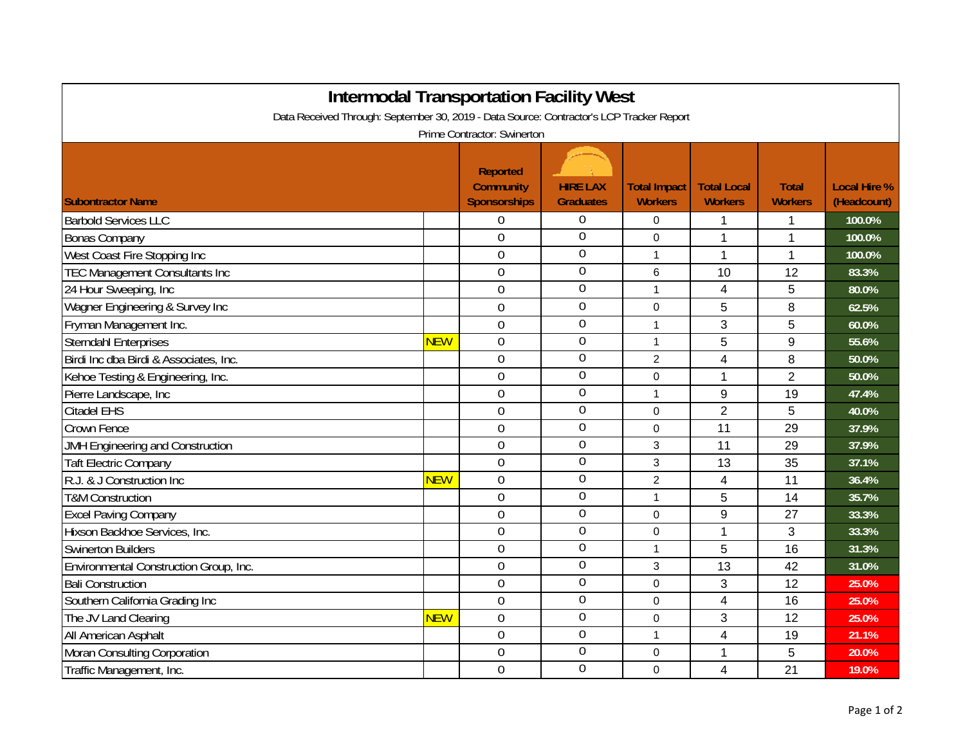| <b>Intermodal Transportation Facility West</b><br>Data Received Through: September 30, 2019 - Data Source: Contractor's LCP Tracker Report |            |                                                            |                                     |                                       |                                      |                                |                                    |  |  |  |  |
|--------------------------------------------------------------------------------------------------------------------------------------------|------------|------------------------------------------------------------|-------------------------------------|---------------------------------------|--------------------------------------|--------------------------------|------------------------------------|--|--|--|--|
| Prime Contractor: Swinerton                                                                                                                |            |                                                            |                                     |                                       |                                      |                                |                                    |  |  |  |  |
| <b>Subontractor Name</b>                                                                                                                   |            | <b>Reported</b><br><b>Community</b><br><b>Sponsorships</b> | <b>HIRE LAX</b><br><b>Graduates</b> | <b>Total Impact</b><br><b>Workers</b> | <b>Total Local</b><br><b>Workers</b> | <b>Total</b><br><b>Workers</b> | <b>Local Hire %</b><br>(Headcount) |  |  |  |  |
| <b>Barbold Services LLC</b>                                                                                                                |            | 0                                                          | $\overline{0}$                      | 0                                     | 1                                    | 1                              | 100.0%                             |  |  |  |  |
| <b>Bonas Company</b>                                                                                                                       |            | $\overline{0}$                                             | $\overline{0}$                      | $\mathbf 0$                           | 1                                    | 1                              | 100.0%                             |  |  |  |  |
| West Coast Fire Stopping Inc                                                                                                               |            | 0                                                          | $\overline{0}$                      | $\mathbf{1}$                          | 1                                    | 1                              | 100.0%                             |  |  |  |  |
| <b>TEC Management Consultants Inc</b>                                                                                                      |            | 0                                                          | $\overline{0}$                      | 6                                     | 10                                   | 12                             | 83.3%                              |  |  |  |  |
| 24 Hour Sweeping, Inc                                                                                                                      |            | $\overline{0}$                                             | $\boldsymbol{0}$                    | $\mathbf{1}$                          | 4                                    | 5                              | 80.0%                              |  |  |  |  |
| Wagner Engineering & Survey Inc                                                                                                            |            | 0                                                          | $\overline{0}$                      | $\Omega$                              | 5                                    | 8                              | 62.5%                              |  |  |  |  |
| Fryman Management Inc.                                                                                                                     |            | $\overline{0}$                                             | $\overline{0}$                      | $\mathbf{1}$                          | 3                                    | 5                              | 60.0%                              |  |  |  |  |
| <b>Sterndahl Enterprises</b>                                                                                                               | <b>NEW</b> | $\mathbf 0$                                                | $\overline{0}$                      | $\mathbf{1}$                          | 5                                    | $9\,$                          | 55.6%                              |  |  |  |  |
| Birdi Inc dba Birdi & Associates, Inc.                                                                                                     |            | $\overline{0}$                                             | $\boldsymbol{0}$                    | $\overline{2}$                        | 4                                    | 8                              | 50.0%                              |  |  |  |  |
| Kehoe Testing & Engineering, Inc.                                                                                                          |            | $\overline{0}$                                             | $\overline{0}$                      | 0                                     | 1                                    | $\overline{2}$                 | 50.0%                              |  |  |  |  |
| Pierre Landscape, Inc                                                                                                                      |            | $\overline{0}$                                             | $\overline{0}$                      | $\mathbf 1$                           | 9                                    | 19                             | 47.4%                              |  |  |  |  |
| <b>Citadel EHS</b>                                                                                                                         |            | $\overline{0}$                                             | $\overline{0}$                      | $\Omega$                              | $\overline{2}$                       | 5                              | 40.0%                              |  |  |  |  |
| Crown Fence                                                                                                                                |            | 0                                                          | $\overline{0}$                      | $\Omega$                              | 11                                   | 29                             | 37.9%                              |  |  |  |  |
| JMH Engineering and Construction                                                                                                           |            | 0                                                          | $\overline{0}$                      | 3                                     | 11                                   | 29                             | 37.9%                              |  |  |  |  |
| <b>Taft Electric Company</b>                                                                                                               |            | $\overline{0}$                                             | $\overline{0}$                      | 3                                     | 13                                   | 35                             | 37.1%                              |  |  |  |  |
| R.J. & J Construction Inc                                                                                                                  | <b>NEW</b> | $\overline{0}$                                             | $\overline{0}$                      | $\overline{2}$                        | $\overline{\mathbf{4}}$              | 11                             | 36.4%                              |  |  |  |  |
| <b>T&amp;M Construction</b>                                                                                                                |            | 0                                                          | $\mathbf 0$                         | $\mathbf{1}$                          | 5                                    | 14                             | 35.7%                              |  |  |  |  |
| <b>Excel Paving Company</b>                                                                                                                |            | $\overline{0}$                                             | $\overline{0}$                      | $\mathbf 0$                           | 9                                    | 27                             | 33.3%                              |  |  |  |  |
| Hixson Backhoe Services, Inc.                                                                                                              |            | $\overline{0}$                                             | $\overline{0}$                      | 0                                     | 1                                    | 3                              | 33.3%                              |  |  |  |  |
| <b>Swinerton Builders</b>                                                                                                                  |            | $\overline{0}$                                             | $\overline{0}$                      | $\mathbf{1}$                          | 5                                    | 16                             | 31.3%                              |  |  |  |  |
| Environmental Construction Group, Inc.                                                                                                     |            | $\overline{0}$                                             | $\overline{0}$                      | 3                                     | 13                                   | 42                             | 31.0%                              |  |  |  |  |
| <b>Bali Construction</b>                                                                                                                   |            | 0                                                          | $\overline{0}$                      | 0                                     | 3                                    | 12                             | 25.0%                              |  |  |  |  |
| Southern California Grading Inc                                                                                                            |            | 0                                                          | 0                                   | 0                                     | 4                                    | 16                             | 25.0%                              |  |  |  |  |
| The JV Land Clearing                                                                                                                       | <b>NEW</b> | $\mathbf 0$                                                | $\overline{0}$                      | 0                                     | 3                                    | 12                             | 25.0%                              |  |  |  |  |
| All American Asphalt                                                                                                                       |            | $\overline{0}$                                             | $\overline{0}$                      | $\mathbf{1}$                          | $\overline{4}$                       | 19                             | 21.1%                              |  |  |  |  |
| Moran Consulting Corporation                                                                                                               |            | 0                                                          | $\boldsymbol{0}$                    | $\mathbf 0$                           | 1                                    | 5                              | 20.0%                              |  |  |  |  |
| Traffic Management, Inc.                                                                                                                   |            | $\overline{0}$                                             | $\overline{0}$                      | $\Omega$                              | 4                                    | 21                             | 19.0%                              |  |  |  |  |